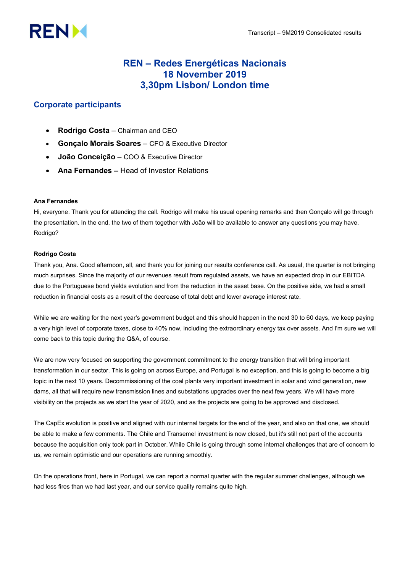# **RENM**

# REN – Redes Energéticas Nacionais 18 November 2019 3,30pm Lisbon/ London time

# Corporate participants

- Rodrigo Costa Chairman and CEO
- Gonçalo Morais Soares CFO & Executive Director
- João Conceição COO & Executive Director
- Ana Fernandes Head of Investor Relations

# Ana Fernandes

Hi, everyone. Thank you for attending the call. Rodrigo will make his usual opening remarks and then Gonçalo will go through the presentation. In the end, the two of them together with João will be available to answer any questions you may have. Rodrigo?

# Rodrigo Costa

Thank you, Ana. Good afternoon, all, and thank you for joining our results conference call. As usual, the quarter is not bringing much surprises. Since the majority of our revenues result from regulated assets, we have an expected drop in our EBITDA due to the Portuguese bond yields evolution and from the reduction in the asset base. On the positive side, we had a small reduction in financial costs as a result of the decrease of total debt and lower average interest rate.

While we are waiting for the next year's government budget and this should happen in the next 30 to 60 days, we keep paying a very high level of corporate taxes, close to 40% now, including the extraordinary energy tax over assets. And I'm sure we will come back to this topic during the Q&A, of course.

We are now very focused on supporting the government commitment to the energy transition that will bring important transformation in our sector. This is going on across Europe, and Portugal is no exception, and this is going to become a big topic in the next 10 years. Decommissioning of the coal plants very important investment in solar and wind generation, new dams, all that will require new transmission lines and substations upgrades over the next few years. We will have more visibility on the projects as we start the year of 2020, and as the projects are going to be approved and disclosed.

The CapEx evolution is positive and aligned with our internal targets for the end of the year, and also on that one, we should be able to make a few comments. The Chile and Transemel investment is now closed, but it's still not part of the accounts because the acquisition only took part in October. While Chile is going through some internal challenges that are of concern to us, we remain optimistic and our operations are running smoothly.

On the operations front, here in Portugal, we can report a normal quarter with the regular summer challenges, although we had less fires than we had last year, and our service quality remains quite high.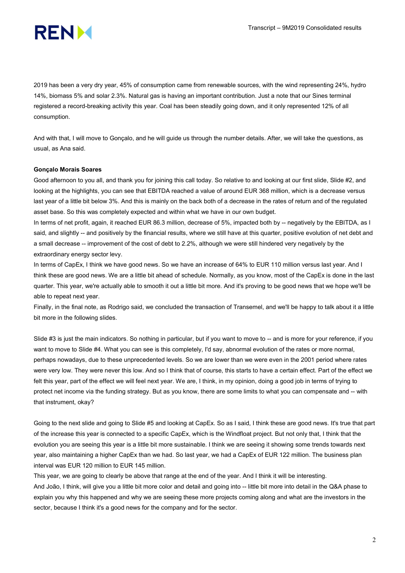

2019 has been a very dry year, 45% of consumption came from renewable sources, with the wind representing 24%, hydro 14%, biomass 5% and solar 2.3%. Natural gas is having an important contribution. Just a note that our Sines terminal registered a record-breaking activity this year. Coal has been steadily going down, and it only represented 12% of all consumption.

And with that, I will move to Gonçalo, and he will guide us through the number details. After, we will take the questions, as usual, as Ana said.

## Gonçalo Morais Soares

Good afternoon to you all, and thank you for joining this call today. So relative to and looking at our first slide, Slide #2, and looking at the highlights, you can see that EBITDA reached a value of around EUR 368 million, which is a decrease versus last year of a little bit below 3%. And this is mainly on the back both of a decrease in the rates of return and of the regulated asset base. So this was completely expected and within what we have in our own budget.

In terms of net profit, again, it reached EUR 86.3 million, decrease of 5%, impacted both by -- negatively by the EBITDA, as I said, and slightly -- and positively by the financial results, where we still have at this quarter, positive evolution of net debt and a small decrease -- improvement of the cost of debt to 2.2%, although we were still hindered very negatively by the extraordinary energy sector levy.

In terms of CapEx, I think we have good news. So we have an increase of 64% to EUR 110 million versus last year. And I think these are good news. We are a little bit ahead of schedule. Normally, as you know, most of the CapEx is done in the last quarter. This year, we're actually able to smooth it out a little bit more. And it's proving to be good news that we hope we'll be able to repeat next year.

Finally, in the final note, as Rodrigo said, we concluded the transaction of Transemel, and we'll be happy to talk about it a little bit more in the following slides.

Slide #3 is just the main indicators. So nothing in particular, but if you want to move to -- and is more for your reference, if you want to move to Slide #4. What you can see is this completely, I'd say, abnormal evolution of the rates or more normal, perhaps nowadays, due to these unprecedented levels. So we are lower than we were even in the 2001 period where rates were very low. They were never this low. And so I think that of course, this starts to have a certain effect. Part of the effect we felt this year, part of the effect we will feel next year. We are, I think, in my opinion, doing a good job in terms of trying to protect net income via the funding strategy. But as you know, there are some limits to what you can compensate and -- with that instrument, okay?

Going to the next slide and going to Slide #5 and looking at CapEx. So as I said, I think these are good news. It's true that part of the increase this year is connected to a specific CapEx, which is the Windfloat project. But not only that, I think that the evolution you are seeing this year is a little bit more sustainable. I think we are seeing it showing some trends towards next year, also maintaining a higher CapEx than we had. So last year, we had a CapEx of EUR 122 million. The business plan interval was EUR 120 million to EUR 145 million.

This year, we are going to clearly be above that range at the end of the year. And I think it will be interesting. And João, I think, will give you a little bit more color and detail and going into -- little bit more into detail in the Q&A phase to explain you why this happened and why we are seeing these more projects coming along and what are the investors in the sector, because I think it's a good news for the company and for the sector.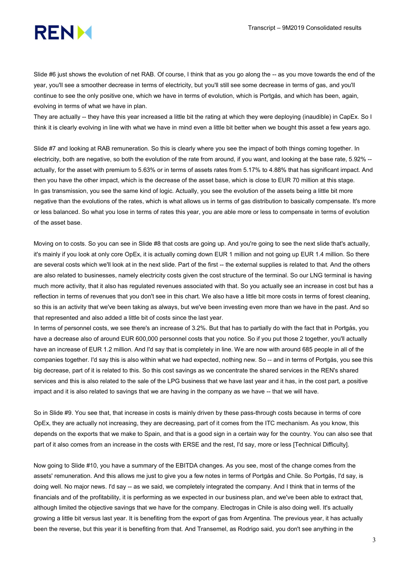

Slide #6 just shows the evolution of net RAB. Of course, I think that as you go along the -- as you move towards the end of the year, you'll see a smoother decrease in terms of electricity, but you'll still see some decrease in terms of gas, and you'll continue to see the only positive one, which we have in terms of evolution, which is Portgás, and which has been, again, evolving in terms of what we have in plan.

They are actually -- they have this year increased a little bit the rating at which they were deploying (inaudible) in CapEx. So I think it is clearly evolving in line with what we have in mind even a little bit better when we bought this asset a few years ago.

Slide #7 and looking at RAB remuneration. So this is clearly where you see the impact of both things coming together. In electricity, both are negative, so both the evolution of the rate from around, if you want, and looking at the base rate, 5.92% - actually, for the asset with premium to 5.63% or in terms of assets rates from 5.17% to 4.88% that has significant impact. And then you have the other impact, which is the decrease of the asset base, which is close to EUR 70 million at this stage. In gas transmission, you see the same kind of logic. Actually, you see the evolution of the assets being a little bit more negative than the evolutions of the rates, which is what allows us in terms of gas distribution to basically compensate. It's more or less balanced. So what you lose in terms of rates this year, you are able more or less to compensate in terms of evolution of the asset base.

Moving on to costs. So you can see in Slide #8 that costs are going up. And you're going to see the next slide that's actually, it's mainly if you look at only core OpEx, it is actually coming down EUR 1 million and not going up EUR 1.4 million. So there are several costs which we'll look at in the next slide. Part of the first -- the external supplies is related to that. And the others are also related to businesses, namely electricity costs given the cost structure of the terminal. So our LNG terminal is having much more activity, that it also has regulated revenues associated with that. So you actually see an increase in cost but has a reflection in terms of revenues that you don't see in this chart. We also have a little bit more costs in terms of forest cleaning, so this is an activity that we've been taking as always, but we've been investing even more than we have in the past. And so that represented and also added a little bit of costs since the last year.

In terms of personnel costs, we see there's an increase of 3.2%. But that has to partially do with the fact that in Portgás, you have a decrease also of around EUR 600,000 personnel costs that you notice. So if you put those 2 together, you'll actually have an increase of EUR 1.2 million. And I'd say that is completely in line. We are now with around 685 people in all of the companies together. I'd say this is also within what we had expected, nothing new. So -- and in terms of Portgás, you see this big decrease, part of it is related to this. So this cost savings as we concentrate the shared services in the REN's shared services and this is also related to the sale of the LPG business that we have last year and it has, in the cost part, a positive impact and it is also related to savings that we are having in the company as we have -- that we will have.

So in Slide #9. You see that, that increase in costs is mainly driven by these pass-through costs because in terms of core OpEx, they are actually not increasing, they are decreasing, part of it comes from the ITC mechanism. As you know, this depends on the exports that we make to Spain, and that is a good sign in a certain way for the country. You can also see that part of it also comes from an increase in the costs with ERSE and the rest, I'd say, more or less [Technical Difficulty].

Now going to Slide #10, you have a summary of the EBITDA changes. As you see, most of the change comes from the assets' remuneration. And this allows me just to give you a few notes in terms of Portgás and Chile. So Portgás, I'd say, is doing well. No major news. I'd say -- as we said, we completely integrated the company. And I think that in terms of the financials and of the profitability, it is performing as we expected in our business plan, and we've been able to extract that, although limited the objective savings that we have for the company. Electrogas in Chile is also doing well. It's actually growing a little bit versus last year. It is benefiting from the export of gas from Argentina. The previous year, it has actually been the reverse, but this year it is benefiting from that. And Transemel, as Rodrigo said, you don't see anything in the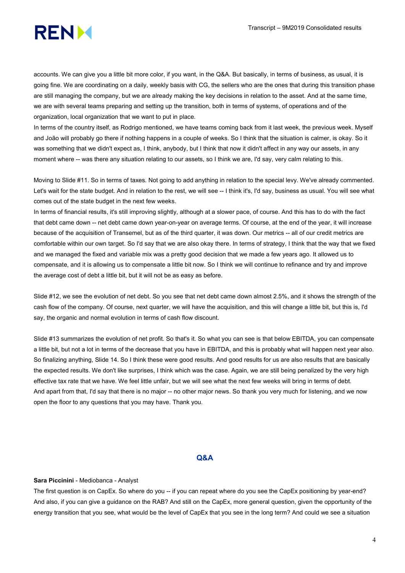

accounts. We can give you a little bit more color, if you want, in the Q&A. But basically, in terms of business, as usual, it is going fine. We are coordinating on a daily, weekly basis with CG, the sellers who are the ones that during this transition phase are still managing the company, but we are already making the key decisions in relation to the asset. And at the same time, we are with several teams preparing and setting up the transition, both in terms of systems, of operations and of the organization, local organization that we want to put in place.

In terms of the country itself, as Rodrigo mentioned, we have teams coming back from it last week, the previous week. Myself and João will probably go there if nothing happens in a couple of weeks. So I think that the situation is calmer, is okay. So it was something that we didn't expect as, I think, anybody, but I think that now it didn't affect in any way our assets, in any moment where -- was there any situation relating to our assets, so I think we are, I'd say, very calm relating to this.

Moving to Slide #11. So in terms of taxes. Not going to add anything in relation to the special levy. We've already commented. Let's wait for the state budget. And in relation to the rest, we will see -- I think it's, I'd say, business as usual. You will see what comes out of the state budget in the next few weeks.

In terms of financial results, it's still improving slightly, although at a slower pace, of course. And this has to do with the fact that debt came down -- net debt came down year-on-year on average terms. Of course, at the end of the year, it will increase because of the acquisition of Transemel, but as of the third quarter, it was down. Our metrics -- all of our credit metrics are comfortable within our own target. So I'd say that we are also okay there. In terms of strategy, I think that the way that we fixed and we managed the fixed and variable mix was a pretty good decision that we made a few years ago. It allowed us to compensate, and it is allowing us to compensate a little bit now. So I think we will continue to refinance and try and improve the average cost of debt a little bit, but it will not be as easy as before.

Slide #12, we see the evolution of net debt. So you see that net debt came down almost 2.5%, and it shows the strength of the cash flow of the company. Of course, next quarter, we will have the acquisition, and this will change a little bit, but this is, I'd say, the organic and normal evolution in terms of cash flow discount.

Slide #13 summarizes the evolution of net profit. So that's it. So what you can see is that below EBITDA, you can compensate a little bit, but not a lot in terms of the decrease that you have in EBITDA, and this is probably what will happen next year also. So finalizing anything, Slide 14. So I think these were good results. And good results for us are also results that are basically the expected results. We don't like surprises, I think which was the case. Again, we are still being penalized by the very high effective tax rate that we have. We feel little unfair, but we will see what the next few weeks will bring in terms of debt. And apart from that, I'd say that there is no major -- no other major news. So thank you very much for listening, and we now open the floor to any questions that you may have. Thank you.

# Q&A

#### Sara Piccinini - Mediobanca - Analyst

The first question is on CapEx. So where do you -- if you can repeat where do you see the CapEx positioning by year-end? And also, if you can give a guidance on the RAB? And still on the CapEx, more general question, given the opportunity of the energy transition that you see, what would be the level of CapEx that you see in the long term? And could we see a situation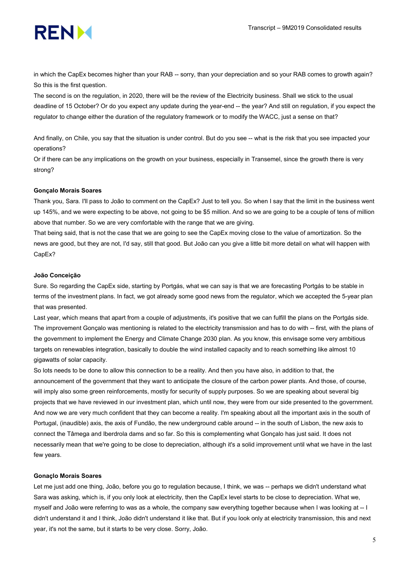

in which the CapEx becomes higher than your RAB -- sorry, than your depreciation and so your RAB comes to growth again? So this is the first question.

The second is on the regulation, in 2020, there will be the review of the Electricity business. Shall we stick to the usual deadline of 15 October? Or do you expect any update during the year-end -- the year? And still on regulation, if you expect the regulator to change either the duration of the regulatory framework or to modify the WACC, just a sense on that?

And finally, on Chile, you say that the situation is under control. But do you see -- what is the risk that you see impacted your operations?

Or if there can be any implications on the growth on your business, especially in Transemel, since the growth there is very strong?

# Gonçalo Morais Soares

Thank you, Sara. I'll pass to João to comment on the CapEx? Just to tell you. So when I say that the limit in the business went up 145%, and we were expecting to be above, not going to be \$5 million. And so we are going to be a couple of tens of million above that number. So we are very comfortable with the range that we are giving.

That being said, that is not the case that we are going to see the CapEx moving close to the value of amortization. So the news are good, but they are not, I'd say, still that good. But João can you give a little bit more detail on what will happen with CapEx?

#### João Conceição

Sure. So regarding the CapEx side, starting by Portgás, what we can say is that we are forecasting Portgás to be stable in terms of the investment plans. In fact, we got already some good news from the regulator, which we accepted the 5-year plan that was presented.

Last year, which means that apart from a couple of adjustments, it's positive that we can fulfill the plans on the Portgás side. The improvement Gonçalo was mentioning is related to the electricity transmission and has to do with -- first, with the plans of the government to implement the Energy and Climate Change 2030 plan. As you know, this envisage some very ambitious targets on renewables integration, basically to double the wind installed capacity and to reach something like almost 10 gigawatts of solar capacity.

So lots needs to be done to allow this connection to be a reality. And then you have also, in addition to that, the announcement of the government that they want to anticipate the closure of the carbon power plants. And those, of course, will imply also some green reinforcements, mostly for security of supply purposes. So we are speaking about several big projects that we have reviewed in our investment plan, which until now, they were from our side presented to the government. And now we are very much confident that they can become a reality. I'm speaking about all the important axis in the south of Portugal, (inaudible) axis, the axis of Fundão, the new underground cable around -- in the south of Lisbon, the new axis to connect the Tâmega and Iberdrola dams and so far. So this is complementing what Gonçalo has just said. It does not necessarily mean that we're going to be close to depreciation, although it's a solid improvement until what we have in the last few years.

# Gonaçlo Morais Soares

Let me just add one thing, João, before you go to regulation because, I think, we was -- perhaps we didn't understand what Sara was asking, which is, if you only look at electricity, then the CapEx level starts to be close to depreciation. What we, myself and João were referring to was as a whole, the company saw everything together because when I was looking at -- I didn't understand it and I think, João didn't understand it like that. But if you look only at electricity transmission, this and next year, it's not the same, but it starts to be very close. Sorry, João.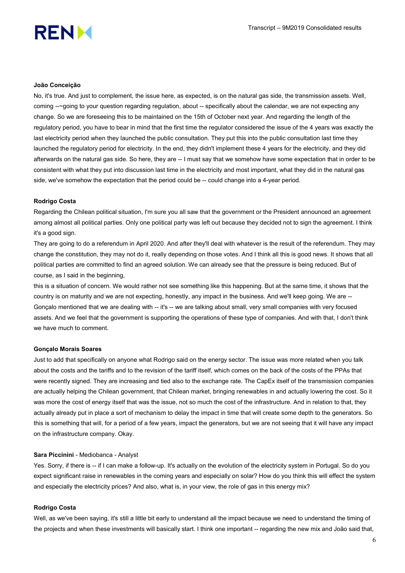

# João Conceição

No, it's true. And just to complement, the issue here, as expected, is on the natural gas side, the transmission assets. Well, coming --~going to your question regarding regulation, about -- specifically about the calendar, we are not expecting any change. So we are foreseeing this to be maintained on the 15th of October next year. And regarding the length of the regulatory period, you have to bear in mind that the first time the regulator considered the issue of the 4 years was exactly the last electricity period when they launched the public consultation. They put this into the public consultation last time they launched the regulatory period for electricity. In the end, they didn't implement these 4 years for the electricity, and they did afterwards on the natural gas side. So here, they are -- I must say that we somehow have some expectation that in order to be consistent with what they put into discussion last time in the electricity and most important, what they did in the natural gas side, we've somehow the expectation that the period could be -- could change into a 4-year period.

#### Rodrigo Costa

Regarding the Chilean political situation, I'm sure you all saw that the government or the President announced an agreement among almost all political parties. Only one political party was left out because they decided not to sign the agreement. I think it's a good sign.

They are going to do a referendum in April 2020. And after they'll deal with whatever is the result of the referendum. They may change the constitution, they may not do it, really depending on those votes. And I think all this is good news. It shows that all political parties are committed to find an agreed solution. We can already see that the pressure is being reduced. But of course, as I said in the beginning,

this is a situation of concern. We would rather not see something like this happening. But at the same time, it shows that the country is on maturity and we are not expecting, honestly, any impact in the business. And we'll keep going. We are -- Gonçalo mentioned that we are dealing with -- it's -- we are talking about small, very small companies with very focused assets. And we feel that the government is supporting the operations of these type of companies. And with that, I don't think we have much to comment.

#### Gonçalo Morais Soares

Just to add that specifically on anyone what Rodrigo said on the energy sector. The issue was more related when you talk about the costs and the tariffs and to the revision of the tariff itself, which comes on the back of the costs of the PPAs that were recently signed. They are increasing and tied also to the exchange rate. The CapEx itself of the transmission companies are actually helping the Chilean government, that Chilean market, bringing renewables in and actually lowering the cost. So it was more the cost of energy itself that was the issue, not so much the cost of the infrastructure. And in relation to that, they actually already put in place a sort of mechanism to delay the impact in time that will create some depth to the generators. So this is something that will, for a period of a few years, impact the generators, but we are not seeing that it will have any impact on the infrastructure company. Okay.

#### Sara Piccinini - Mediobanca - Analyst

Yes. Sorry, if there is -- if I can make a follow-up. It's actually on the evolution of the electricity system in Portugal. So do you expect significant raise in renewables in the coming years and especially on solar? How do you think this will effect the system and especially the electricity prices? And also, what is, in your view, the role of gas in this energy mix?

## Rodrigo Costa

Well, as we've been saying, it's still a little bit early to understand all the impact because we need to understand the timing of the projects and when these investments will basically start. I think one important -- regarding the new mix and João said that,